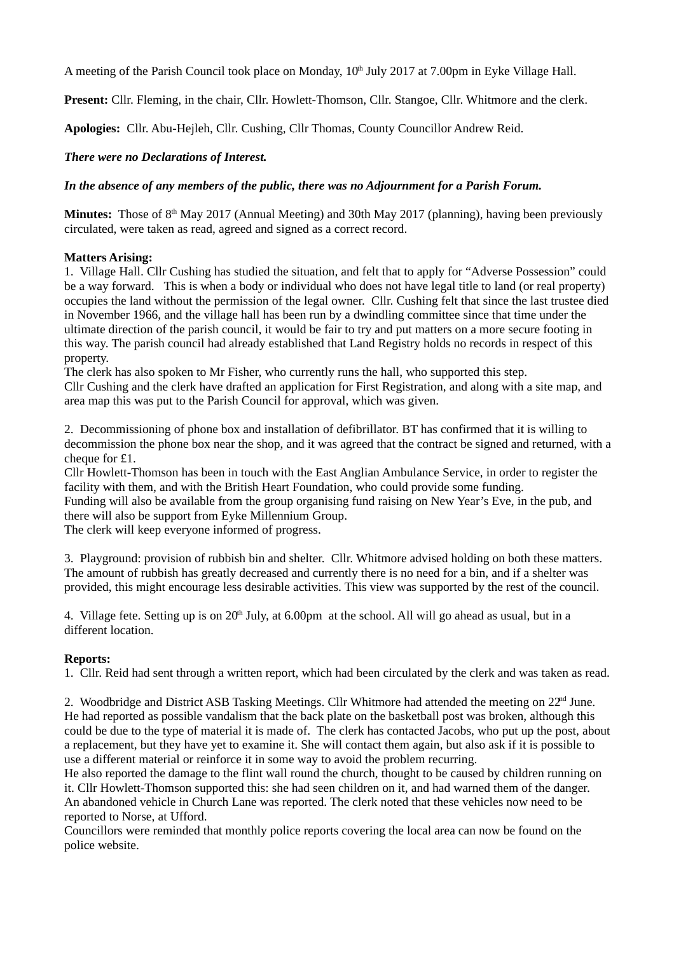A meeting of the Parish Council took place on Monday,  $10<sup>th</sup>$  July 2017 at 7.00pm in Eyke Village Hall.

**Present:** Cllr. Fleming, in the chair, Cllr. Howlett-Thomson, Cllr. Stangoe, Cllr. Whitmore and the clerk.

**Apologies:** Cllr. Abu-Hejleh, Cllr. Cushing, Cllr Thomas, County Councillor Andrew Reid.

# *There were no Declarations of Interest.*

## *In the absence of any members of the public, there was no Adjournment for a Parish Forum.*

**Minutes:** Those of 8<sup>th</sup> May 2017 (Annual Meeting) and 30th May 2017 (planning), having been previously circulated, were taken as read, agreed and signed as a correct record.

## **Matters Arising:**

1. Village Hall. Cllr Cushing has studied the situation, and felt that to apply for "Adverse Possession" could be a way forward. This is when a body or individual who does not have legal title to land (or real property) occupies the land without the permission of the legal owner. Cllr. Cushing felt that since the last trustee died in November 1966, and the village hall has been run by a dwindling committee since that time under the ultimate direction of the parish council, it would be fair to try and put matters on a more secure footing in this way. The parish council had already established that Land Registry holds no records in respect of this property.

The clerk has also spoken to Mr Fisher, who currently runs the hall, who supported this step. Cllr Cushing and the clerk have drafted an application for First Registration, and along with a site map, and area map this was put to the Parish Council for approval, which was given.

2. Decommissioning of phone box and installation of defibrillator. BT has confirmed that it is willing to decommission the phone box near the shop, and it was agreed that the contract be signed and returned, with a cheque for £1.

Cllr Howlett-Thomson has been in touch with the East Anglian Ambulance Service, in order to register the facility with them, and with the British Heart Foundation, who could provide some funding.

Funding will also be available from the group organising fund raising on New Year's Eve, in the pub, and there will also be support from Eyke Millennium Group.

The clerk will keep everyone informed of progress.

3. Playground: provision of rubbish bin and shelter. Cllr. Whitmore advised holding on both these matters. The amount of rubbish has greatly decreased and currently there is no need for a bin, and if a shelter was provided, this might encourage less desirable activities. This view was supported by the rest of the council.

4. Village fete. Setting up is on  $20<sup>th</sup>$  July, at 6.00pm at the school. All will go ahead as usual, but in a different location.

## **Reports:**

1. Cllr. Reid had sent through a written report, which had been circulated by the clerk and was taken as read.

2. Woodbridge and District ASB Tasking Meetings. Cllr Whitmore had attended the meeting on  $22<sup>nd</sup>$  June. He had reported as possible vandalism that the back plate on the basketball post was broken, although this could be due to the type of material it is made of. The clerk has contacted Jacobs, who put up the post, about a replacement, but they have yet to examine it. She will contact them again, but also ask if it is possible to use a different material or reinforce it in some way to avoid the problem recurring.

He also reported the damage to the flint wall round the church, thought to be caused by children running on it. Cllr Howlett-Thomson supported this: she had seen children on it, and had warned them of the danger. An abandoned vehicle in Church Lane was reported. The clerk noted that these vehicles now need to be reported to Norse, at Ufford.

Councillors were reminded that monthly police reports covering the local area can now be found on the police website.